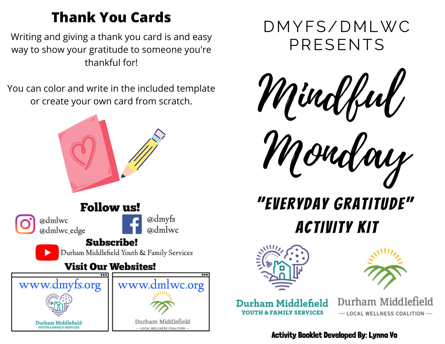### **Thank You Cards**

Writing and giving a thank you card is and easy  $\blacksquare\mathsf{PRESENTS}$ thankful for!

You can color and write in the included template or create your own card from scratch.



## **Follow us!**

@dmlwc @dmlwc\_edge @dmyfs a)dmlwc

### **Subscribe!**

Durham Middlefield Youth & Family Services

### **Visit Our Websites!**



DMYFS/DMLWC



Monday

# "EveryDay Gratitude" Activity Kit





Durham Middlefield **TH & FAMILY SERVICES** 

Durham Middlefield - LOCAL WELLNESS COALITION-

Activity Booklet Developed By: Lynna Vo